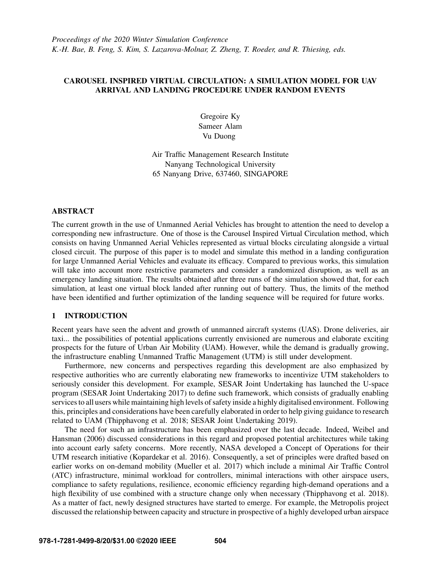# CAROUSEL INSPIRED VIRTUAL CIRCULATION: A SIMULATION MODEL FOR UAV ARRIVAL AND LANDING PROCEDURE UNDER RANDOM EVENTS

Gregoire Ky Sameer Alam Vu Duong

Air Traffic Management Research Institute Nanyang Technological University 65 Nanyang Drive, 637460, SINGAPORE

# ABSTRACT

The current growth in the use of Unmanned Aerial Vehicles has brought to attention the need to develop a corresponding new infrastructure. One of those is the Carousel Inspired Virtual Circulation method, which consists on having Unmanned Aerial Vehicles represented as virtual blocks circulating alongside a virtual closed circuit. The purpose of this paper is to model and simulate this method in a landing configuration for large Unmanned Aerial Vehicles and evaluate its efficacy. Compared to previous works, this simulation will take into account more restrictive parameters and consider a randomized disruption, as well as an emergency landing situation. The results obtained after three runs of the simulation showed that, for each simulation, at least one virtual block landed after running out of battery. Thus, the limits of the method have been identified and further optimization of the landing sequence will be required for future works.

## 1 INTRODUCTION

Recent years have seen the advent and growth of unmanned aircraft systems (UAS). Drone deliveries, air taxi... the possibilities of potential applications currently envisioned are numerous and elaborate exciting prospects for the future of Urban Air Mobility (UAM). However, while the demand is gradually growing, the infrastructure enabling Unmanned Traffic Management (UTM) is still under development.

Furthermore, new concerns and perspectives regarding this development are also emphasized by respective authorities who are currently elaborating new frameworks to incentivize UTM stakeholders to seriously consider this development. For example, SESAR Joint Undertaking has launched the U-space program [\(SESAR Joint Undertaking 2017\)](#page-11-0) to define such framework, which consists of gradually enabling services to all users while maintaining high levels of safety inside a highly digitalised environment. Following this, principles and considerations have been carefully elaborated in order to help giving guidance to research related to UAM [\(Thipphavong et al. 2018;](#page-11-1) [SESAR Joint Undertaking 2019\)](#page-11-2).

The need for such an infrastructure has been emphasized over the last decade. Indeed, [Weibel and](#page-11-3) [Hansman \(2006\)](#page-11-3) discussed considerations in this regard and proposed potential architectures while taking into account early safety concerns. More recently, NASA developed a Concept of Operations for their UTM research initiative [\(Kopardekar et al. 2016\)](#page-11-4). Consequently, a set of principles were drafted based on earlier works on on-demand mobility [\(Mueller et al. 2017\)](#page-11-5) which include a minimal Air Traffic Control (ATC) infrastructure, minimal workload for controllers, minimal interactions with other airspace users, compliance to safety regulations, resilience, economic efficiency regarding high-demand operations and a high flexibility of use combined with a structure change only when necessary [\(Thipphavong et al. 2018\)](#page-11-1). As a matter of fact, newly designed structures have started to emerge. For example, the Metropolis project discussed the relationship between capacity and structure in prospective of a highly developed urban airspace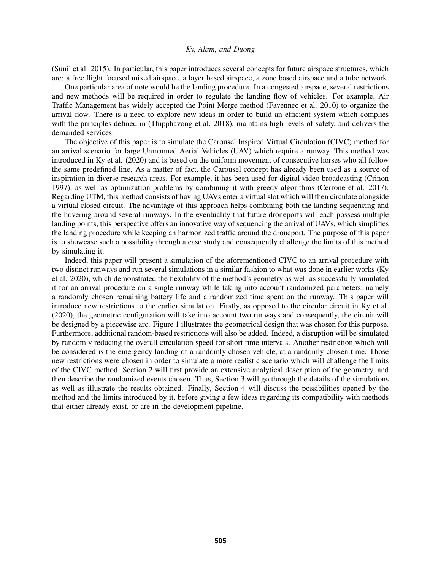[\(Sunil et al. 2015\)](#page-11-6). In particular, this paper introduces several concepts for future airspace structures, which are: a free flight focused mixed airspace, a layer based airspace, a zone based airspace and a tube network.

One particular area of note would be the landing procedure. In a congested airspace, several restrictions and new methods will be required in order to regulate the landing flow of vehicles. For example, Air Traffic Management has widely accepted the Point Merge method [\(Favennec et al. 2010\)](#page-10-0) to organize the arrival flow. There is a need to explore new ideas in order to build an efficient system which complies with the principles defined in [\(Thipphavong et al. 2018\)](#page-11-1), maintains high levels of safety, and delivers the demanded services.

The objective of this paper is to simulate the Carousel Inspired Virtual Circulation (CIVC) method for an arrival scenario for large Unmanned Aerial Vehicles (UAV) which require a runway. This method was introduced in [Ky et al. \(2020\)](#page-11-7) and is based on the uniform movement of consecutive horses who all follow the same predefined line. As a matter of fact, the Carousel concept has already been used as a source of inspiration in diverse research areas. For example, it has been used for digital video broadcasting [\(Crinon](#page-10-1) [1997\)](#page-10-1), as well as optimization problems by combining it with greedy algorithms [\(Cerrone et al. 2017\)](#page-10-2). Regarding UTM, this method consists of having UAVs enter a virtual slot which will then circulate alongside a virtual closed circuit. The advantage of this approach helps combining both the landing sequencing and the hovering around several runways. In the eventuality that future droneports will each possess multiple landing points, this perspective offers an innovative way of sequencing the arrival of UAVs, which simplifies the landing procedure while keeping an harmonized traffic around the droneport. The purpose of this paper is to showcase such a possibility through a case study and consequently challenge the limits of this method by simulating it.

Indeed, this paper will present a simulation of the aforementioned CIVC to an arrival procedure with two distinct runways and run several simulations in a similar fashion to what was done in earlier works [\(Ky](#page-11-7) [et al. 2020\)](#page-11-7), which demonstrated the flexibility of the method's geometry as well as successfully simulated it for an arrival procedure on a single runway while taking into account randomized parameters, namely a randomly chosen remaining battery life and a randomized time spent on the runway. This paper will introduce new restrictions to the earlier simulation. Firstly, as opposed to the circular circuit in [Ky et al.](#page-11-7) [\(2020\),](#page-11-7) the geometric configuration will take into account two runways and consequently, the circuit will be designed by a piecewise arc. Figure [1](#page-2-0) illustrates the geometrical design that was chosen for this purpose. Furthermore, additional random-based restrictions will also be added. Indeed, a disruption will be simulated by randomly reducing the overall circulation speed for short time intervals. Another restriction which will be considered is the emergency landing of a randomly chosen vehicle, at a randomly chosen time. Those new restrictions were chosen in order to simulate a more realistic scenario which will challenge the limits of the CIVC method. Section [2](#page-2-1) will first provide an extensive analytical description of the geometry, and then describe the randomized events chosen. Thus, Section [3](#page-5-0) will go through the details of the simulations as well as illustrate the results obtained. Finally, Section [4](#page-9-0) will discuss the possibilities opened by the method and the limits introduced by it, before giving a few ideas regarding its compatibility with methods that either already exist, or are in the development pipeline.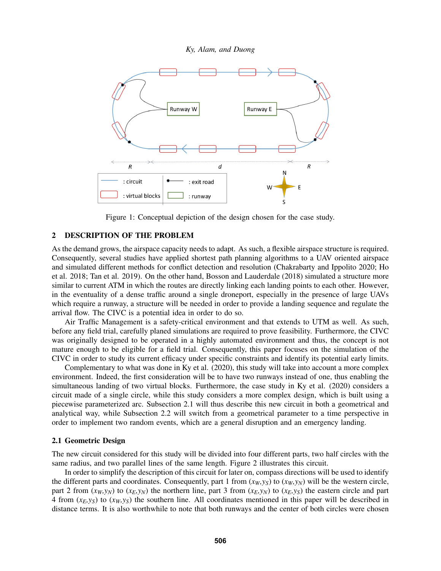

<span id="page-2-0"></span>Figure 1: Conceptual depiction of the design chosen for the case study.

# <span id="page-2-1"></span>2 DESCRIPTION OF THE PROBLEM

As the demand grows, the airspace capacity needs to adapt. As such, a flexible airspace structure is required. Consequently, several studies have applied shortest path planning algorithms to a UAV oriented airspace and simulated different methods for conflict detection and resolution [\(Chakrabarty and Ippolito 2020;](#page-10-3) [Ho](#page-11-8) [et al. 2018;](#page-11-8) [Tan et al. 2019\)](#page-11-9). On the other hand, [Bosson and Lauderdale \(2018\)](#page-10-4) simulated a structure more similar to current ATM in which the routes are directly linking each landing points to each other. However, in the eventuality of a dense traffic around a single droneport, especially in the presence of large UAVs which require a runway, a structure will be needed in order to provide a landing sequence and regulate the arrival flow. The CIVC is a potential idea in order to do so.

Air Traffic Management is a safety-critical environment and that extends to UTM as well. As such, before any field trial, carefully planed simulations are required to prove feasibility. Furthermore, the CIVC was originally designed to be operated in a highly automated environment and thus, the concept is not mature enough to be eligible for a field trial. Consequently, this paper focuses on the simulation of the CIVC in order to study its current efficacy under specific constraints and identify its potential early limits.

Complementary to what was done in [Ky et al. \(2020\),](#page-11-7) this study will take into account a more complex environment. Indeed, the first consideration will be to have two runways instead of one, thus enabling the simultaneous landing of two virtual blocks. Furthermore, the case study in [Ky et al. \(2020\)](#page-11-7) considers a circuit made of a single circle, while this study considers a more complex design, which is built using a piecewise parameterized arc. Subsection [2.1](#page-2-2) will thus describe this new circuit in both a geometrical and analytical way, while Subsection [2.2](#page-3-0) will switch from a geometrical parameter to a time perspective in order to implement two random events, which are a general disruption and an emergency landing.

## <span id="page-2-2"></span>2.1 Geometric Design

The new circuit considered for this study will be divided into four different parts, two half circles with the same radius, and two parallel lines of the same length. Figure [2](#page-3-1) illustrates this circuit.

In order to simplify the description of this circuit for later on, compass directions will be used to identify the different parts and coordinates. Consequently, part 1 from  $(x_W, y_S)$  to  $(x_W, y_N)$  will be the western circle, part 2 from  $(x_W, y_N)$  to  $(x_E, y_N)$  the northern line, part 3 from  $(x_E, y_N)$  to  $(x_E, y_S)$  the eastern circle and part 4 from  $(x_E, y_S)$  to  $(x_W, y_S)$  the southern line. All coordinates mentioned in this paper will be described in distance terms. It is also worthwhile to note that both runways and the center of both circles were chosen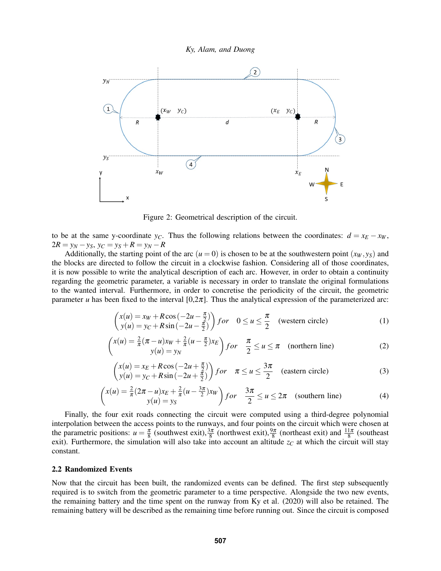



<span id="page-3-1"></span>Figure 2: Geometrical description of the circuit.

to be at the same y-coordinate *y<sub>C</sub>*. Thus the following relations between the coordinates:  $d = x_E - x_W$ ,  $2R = y_N - y_S$ ,  $y_C = y_S + R = y_N - R$ 

Additionally, the starting point of the arc  $(u = 0)$  is chosen to be at the southwestern point  $(x_W, y_S)$  and the blocks are directed to follow the circuit in a clockwise fashion. Considering all of those coordinates, it is now possible to write the analytical description of each arc. However, in order to obtain a continuity regarding the geometric parameter, a variable is necessary in order to translate the original formulations to the wanted interval. Furthermore, in order to concretise the periodicity of the circuit, the geometric parameter *u* has been fixed to the interval  $[0,2\pi]$ . Thus the analytical expression of the parameterized arc:

<span id="page-3-2"></span>
$$
\begin{pmatrix} x(u) = x_w + R\cos\left(-2u - \frac{\pi}{2}\right) \\ y(u) = y_C + R\sin\left(-2u - \frac{\pi}{2}\right) \end{pmatrix} for \quad 0 \le u \le \frac{\pi}{2} \quad \text{(western circle)} \tag{1}
$$

$$
\begin{pmatrix} x(u) = \frac{2}{\pi}(\pi - u)x_W + \frac{2}{\pi}(u - \frac{\pi}{2})x_E \\ y(u) = y_N \end{pmatrix} for \quad \frac{\pi}{2} \le u \le \pi \quad \text{(northern line)} \tag{2}
$$

$$
\begin{pmatrix} x(u) = x_E + R\cos\left(-2u + \frac{\pi}{2}\right) \\ y(u) = y_C + R\sin\left(-2u + \frac{\pi}{2}\right) \end{pmatrix} for \quad \pi \le u \le \frac{3\pi}{2} \quad \text{(eastern circle)}\tag{3}
$$

<span id="page-3-3"></span>
$$
\begin{pmatrix} x(u) = \frac{2}{\pi} (2\pi - u)x_E + \frac{2}{\pi} (u - \frac{3\pi}{2})x_W \\ y(u) = y_S \end{pmatrix} for \quad \frac{3\pi}{2} \le u \le 2\pi \quad \text{(southern line)} \tag{4}
$$

Finally, the four exit roads connecting the circuit were computed using a third-degree polynomial interpolation between the access points to the runways, and four points on the circuit which were chosen at the parametric positions:  $u = \frac{\pi}{8}$  (southwest exit),  $\frac{3\pi}{8}$  (northwest exit),  $\frac{9\pi}{8}$  (northeast exit) and  $\frac{11\pi}{8}$  (southeast exit). Furthermore, the simulation will also take into account an altitude  $z_C$  at which the circuit will stay constant.

## <span id="page-3-0"></span>2.2 Randomized Events

Now that the circuit has been built, the randomized events can be defined. The first step subsequently required is to switch from the geometric parameter to a time perspective. Alongside the two new events, the remaining battery and the time spent on the runway from [Ky et al. \(2020\)](#page-11-7) will also be retained. The remaining battery will be described as the remaining time before running out. Since the circuit is composed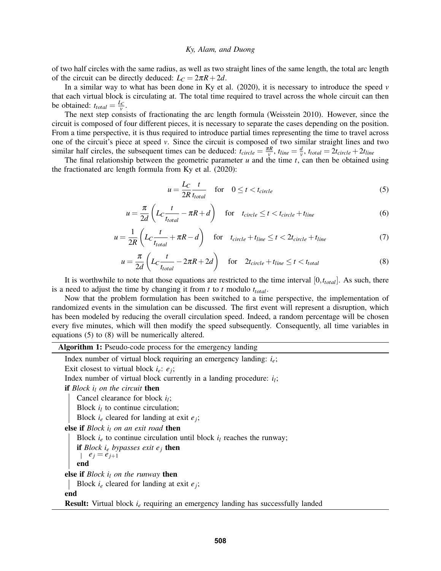of two half circles with the same radius, as well as two straight lines of the same length, the total arc length of the circuit can be directly deduced:  $L_C = 2\pi R + 2d$ .

In a similar way to what has been done in [Ky et al. \(2020\),](#page-11-7) it is necessary to introduce the speed *v* that each virtual block is circulating at. The total time required to travel across the whole circuit can then be obtained:  $t_{total} = \frac{L_C}{v}$ .

The next step consists of fractionating the arc length formula [\(Weisstein 2010\)](#page-11-10). However, since the circuit is composed of four different pieces, it is necessary to separate the cases depending on the position. From a time perspective, it is thus required to introduce partial times representing the time to travel across one of the circuit's piece at speed *v*. Since the circuit is composed of two similar straight lines and two similar half circles, the subsequent times can be deduced:  $t_{circle} = \frac{\pi R}{v}$ ,  $t_{line} = \frac{d}{v}$  $\frac{d}{v}$ ,  $t_{total} = 2t_{circle} + 2t_{line}$ 

The final relationship between the geometric parameter *u* and the time *t*, can then be obtained using the fractionated arc length formula from [Ky et al. \(2020\):](#page-11-7)

<span id="page-4-0"></span>
$$
u = \frac{L_C}{2R} \frac{t}{t_{total}} \quad \text{for} \quad 0 \le t < t_{circle} \tag{5}
$$

$$
u = \frac{\pi}{2d} \left( L_C \frac{t}{t_{total}} - \pi R + d \right) \quad \text{for} \quad t_{circle} \le t < t_{circle} + t_{line} \tag{6}
$$

$$
u = \frac{1}{2R} \left( L_C \frac{t}{t_{total}} + \pi R - d \right) \quad \text{for} \quad t_{circle} + t_{line} \le t < 2t_{circle} + t_{line} \tag{7}
$$

<span id="page-4-1"></span>
$$
u = \frac{\pi}{2d} \left( L_C \frac{t}{t_{total}} - 2\pi R + 2d \right) \quad \text{for} \quad 2t_{circle} + t_{line} \le t < t_{total} \tag{8}
$$

It is worthwhile to note that those equations are restricted to the time interval [0,*ttotal*]. As such, there is a need to adjust the time by changing it from *t* to *t* modulo *ttotal*.

Now that the problem formulation has been switched to a time perspective, the implementation of randomized events in the simulation can be discussed. The first event will represent a disruption, which has been modeled by reducing the overall circulation speed. Indeed, a random percentage will be chosen every five minutes, which will then modify the speed subsequently. Consequently, all time variables in equations [\(5\)](#page-4-0) to [\(8\)](#page-4-1) will be numerically altered.

Algorithm 1: Pseudo-code process for the emergency landing

<span id="page-4-2"></span>Index number of virtual block requiring an emergency landing: *ie*; Exit closest to virtual block  $i_e$ :  $e_j$ ; Index number of virtual block currently in a landing procedure: *i<sup>l</sup>* ; if *Block i<sup>l</sup> on the circuit* then Cancel clearance for block *i<sup>l</sup>* ; Block  $i_l$  to continue circulation; Block *i<sup>e</sup>* cleared for landing at exit *e<sup>j</sup>* ; else if *Block i<sup>l</sup> on an exit road* then Block  $i_e$  to continue circulation until block  $i_l$  reaches the runway; if *Block i<sup>e</sup> bypasses exit e<sup>j</sup>* then  $e_j = e_{j+1}$ end else if *Block i<sup>l</sup> on the runway* then Block *i<sup>e</sup>* cleared for landing at exit *e<sup>j</sup>* ; end Result: Virtual block *i<sup>e</sup>* requiring an emergency landing has successfully landed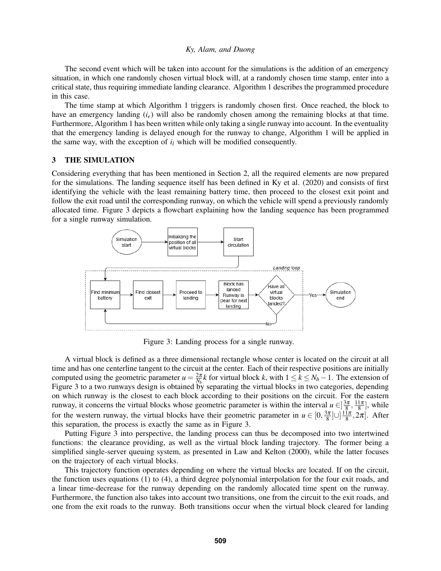The second event which will be taken into account for the simulations is the addition of an emergency situation, in which one randomly chosen virtual block will, at a randomly chosen time stamp, enter into a critical state, thus requiring immediate landing clearance. Algorithm [1](#page-4-2) describes the programmed procedure in this case.

The time stamp at which Algorithm [1](#page-4-2) triggers is randomly chosen first. Once reached, the block to have an emergency landing (*ie*) will also be randomly chosen among the remaining blocks at that time. Furthermore, Algorithm [1](#page-4-2) has been written while only taking a single runway into account. In the eventuality that the emergency landing is delayed enough for the runway to change, Algorithm [1](#page-4-2) will be applied in the same way, with the exception of  $i_l$  which will be modified consequently.

## <span id="page-5-0"></span>3 THE SIMULATION

Considering everything that has been mentioned in Section [2,](#page-2-1) all the required elements are now prepared for the simulations. The landing sequence itself has been defined in [Ky et al. \(2020\)](#page-11-7) and consists of first identifying the vehicle with the least remaining battery time, then proceed to the closest exit point and follow the exit road until the corresponding runway, on which the vehicle will spend a previously randomly allocated time. Figure [3](#page-5-1) depicts a flowchart explaining how the landing sequence has been programmed for a single runway simulation.



<span id="page-5-1"></span>Figure 3: Landing process for a single runway.

A virtual block is defined as a three dimensional rectangle whose center is located on the circuit at all time and has one centerline tangent to the circuit at the center. Each of their respective positions are initially computed using the geometric parameter  $u = \frac{2\pi}{N_b}k$  for virtual block *k*, with  $1 \le k \le N_b - 1$ . The extension of Figure [3](#page-5-1) to a two runways design is obtained by separating the virtual blocks in two categories, depending on which runway is the closest to each block according to their positions on the circuit. For the eastern runway, it concerns the virtual blocks whose geometric parameter is within the interval  $u \in ]\frac{3\pi}{8}, \frac{11\pi}{8}]$ , while for the western runway, the virtual blocks have their geometric parameter in  $u \in [0, \frac{3\pi}{8}] \cup [\frac{11\pi}{8}, 2\pi]$ . After this separation, the process is exactly the same as in Figure [3.](#page-5-1)

Putting Figure [3](#page-5-1) into perspective, the landing process can thus be decomposed into two intertwined functions: the clearance providing, as well as the virtual block landing trajectory. The former being a simplified single-server queuing system, as presented in [Law and Kelton \(2000\),](#page-11-11) while the latter focuses on the trajectory of each virtual blocks.

This trajectory function operates depending on where the virtual blocks are located. If on the circuit, the function uses equations [\(1\)](#page-3-2) to [\(4\)](#page-3-3), a third degree polynomial interpolation for the four exit roads, and a linear time-decrease for the runway depending on the randomly allocated time spent on the runway. Furthermore, the function also takes into account two transitions, one from the circuit to the exit roads, and one from the exit roads to the runway. Both transitions occur when the virtual block cleared for landing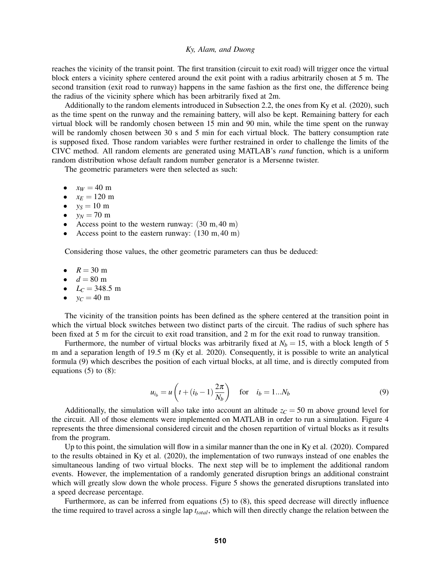reaches the vicinity of the transit point. The first transition (circuit to exit road) will trigger once the virtual block enters a vicinity sphere centered around the exit point with a radius arbitrarily chosen at 5 m. The second transition (exit road to runway) happens in the same fashion as the first one, the difference being the radius of the vicinity sphere which has been arbitrarily fixed at 2m.

Additionally to the random elements introduced in Subsection [2.2,](#page-3-0) the ones from [Ky et al. \(2020\),](#page-11-7) such as the time spent on the runway and the remaining battery, will also be kept. Remaining battery for each virtual block will be randomly chosen between 15 min and 90 min, while the time spent on the runway will be randomly chosen between 30 s and 5 min for each virtual block. The battery consumption rate is supposed fixed. Those random variables were further restrained in order to challenge the limits of the CIVC method. All random elements are generated using MATLAB's *rand* function, which is a uniform random distribution whose default random number generator is a Mersenne twister.

The geometric parameters were then selected as such:

- $x_W = 40 \text{ m}$
- $x_E = 120 \text{ m}$
- $y_S = 10 \text{ m}$
- $y_N = 70 \text{ m}$
- Access point to the western runway:  $(30 \text{ m}, 40 \text{ m})$
- Access point to the eastern runway:  $(130 \text{ m}, 40 \text{ m})$

Considering those values, the other geometric parameters can thus be deduced:

- $R = 30 \text{ m}$
- $d = 80$  m
- $L_C = 348.5 \text{ m}$
- $y_C = 40 \text{ m}$

The vicinity of the transition points has been defined as the sphere centered at the transition point in which the virtual block switches between two distinct parts of the circuit. The radius of such sphere has been fixed at 5 m for the circuit to exit road transition, and 2 m for the exit road to runway transition.

Furthermore, the number of virtual blocks was arbitrarily fixed at  $N_b = 15$ , with a block length of 5 m and a separation length of 19.5 m [\(Ky et al. 2020\)](#page-11-7). Consequently, it is possible to write an analytical formula [\(9\)](#page-6-0) which describes the position of each virtual blocks, at all time, and is directly computed from equations  $(5)$  to  $(8)$ :

<span id="page-6-0"></span>
$$
u_{i_b} = u \left( t + (i_b - 1) \frac{2\pi}{N_b} \right) \quad \text{for} \quad i_b = 1...N_b \tag{9}
$$

Additionally, the simulation will also take into account an altitude  $z_c = 50$  m above ground level for the circuit. All of those elements were implemented on MATLAB in order to run a simulation. Figure [4](#page-7-0) represents the three dimensional considered circuit and the chosen repartition of virtual blocks as it results from the program.

Up to this point, the simulation will flow in a similar manner than the one in [Ky et al. \(2020\).](#page-11-7) Compared to the results obtained in [Ky et al. \(2020\),](#page-11-7) the implementation of two runways instead of one enables the simultaneous landing of two virtual blocks. The next step will be to implement the additional random events. However, the implementation of a randomly generated disruption brings an additional constraint which will greatly slow down the whole process. Figure [5](#page-7-1) shows the generated disruptions translated into a speed decrease percentage.

Furthermore, as can be inferred from equations [\(5\)](#page-4-0) to [\(8\)](#page-4-1), this speed decrease will directly influence the time required to travel across a single lap *ttotal*, which will then directly change the relation between the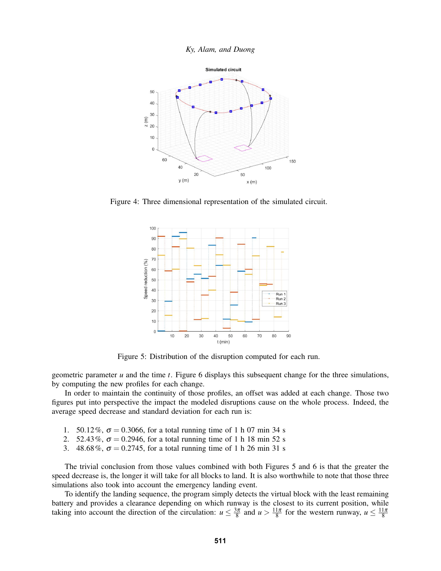



Figure 4: Three dimensional representation of the simulated circuit.

<span id="page-7-0"></span>

<span id="page-7-1"></span>Figure 5: Distribution of the disruption computed for each run.

geometric parameter *u* and the time *t*. Figure [6](#page-8-0) displays this subsequent change for the three simulations, by computing the new profiles for each change.

In order to maintain the continuity of those profiles, an offset was added at each change. Those two figures put into perspective the impact the modeled disruptions cause on the whole process. Indeed, the average speed decrease and standard deviation for each run is:

- 1. 50.12%,  $\sigma = 0.3066$ , for a total running time of 1 h 07 min 34 s
- 2. 52.43%,  $\sigma = 0.2946$ , for a total running time of 1 h 18 min 52 s
- 3. 48.68%,  $\sigma = 0.2745$ , for a total running time of 1 h 26 min 31 s

The trivial conclusion from those values combined with both Figures [5](#page-7-1) and [6](#page-8-0) is that the greater the speed decrease is, the longer it will take for all blocks to land. It is also worthwhile to note that those three simulations also took into account the emergency landing event.

To identify the landing sequence, the program simply detects the virtual block with the least remaining battery and provides a clearance depending on which runway is the closest to its current position, while taking into account the direction of the circulation:  $u \le \frac{3\pi}{8}$  and  $u > \frac{11\pi}{8}$  for the western runway,  $u \le \frac{11\pi}{8}$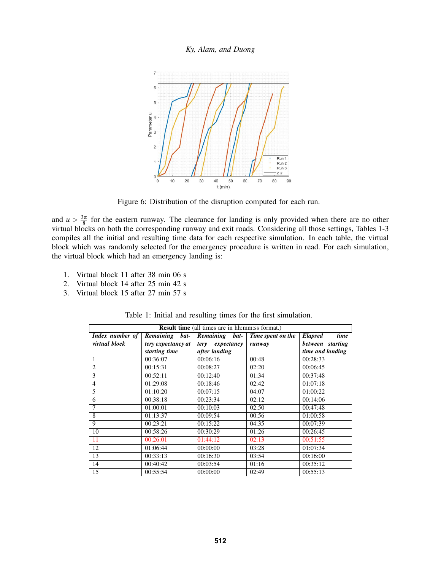

<span id="page-8-0"></span>Figure 6: Distribution of the disruption computed for each run.

and  $u > \frac{3\pi}{8}$  for the eastern runway. The clearance for landing is only provided when there are no other virtual blocks on both the corresponding runway and exit roads. Considering all those settings, Tables [1-](#page-8-1)[3](#page-9-1) compiles all the initial and resulting time data for each respective simulation. In each table, the virtual block which was randomly selected for the emergency procedure is written in read. For each simulation, the virtual block which had an emergency landing is:

- 1. Virtual block 11 after 38 min 06 s
- 2. Virtual block 14 after 25 min 42 s
- 3. Virtual block 15 after 27 min 57 s

| <b>Result time</b> (all times are in hh:mm:ss format.) |                    |                   |                   |                        |  |  |
|--------------------------------------------------------|--------------------|-------------------|-------------------|------------------------|--|--|
| Index number of                                        | Remaining<br>bat-  | Remaining<br>bat- | Time spent on the | time<br><b>Elapsed</b> |  |  |
| virtual block                                          | tery expectancy at | tery expectancy   | runway            | between starting       |  |  |
|                                                        | starting time      | after landing     |                   | time and landing       |  |  |
| $\mathbf{1}$                                           | 00:36:07           | 00:06:16          | 00:48             | 00:28:33               |  |  |
| $\mathcal{D}_{\mathcal{L}}$                            | 00:15:31           | 00:08:27          | 02:20             | 00:06:45               |  |  |
| 3                                                      | 00:52:11           | 00:12:40          | 01:34             | 00:37:48               |  |  |
| $\overline{4}$                                         | 01:29:08           | 00:18:46          | 02:42             | 01:07:18               |  |  |
| 5                                                      | 01:10:20           | 00:07:15          | 04:07             | 01:00:22               |  |  |
| 6                                                      | 00:38:18           | 00:23:34          | 02:12             | 00:14:06               |  |  |
| 7                                                      | 01:00:01           | 00:10:03          | 02:50             | 00:47:48               |  |  |
| 8                                                      | 01:13:37           | 00:09:54          | 00:56             | 01:00:58               |  |  |
| 9                                                      | 00:23:21           | 00:15:22          | 04:35             | 00:07:39               |  |  |
| 10                                                     | 00:58:26           | 00:30:29          | 01:26             | 00:26:45               |  |  |
| 11                                                     | 00:26:01           | 01:44:12          | 02:13             | 00:51:55               |  |  |
| 12                                                     | 01:06:44           | 00:00:00          | 03:28             | 01:07:34               |  |  |
| 13                                                     | 00:33:13           | 00:16:30          | 03:54             | 00:16:00               |  |  |
| 14                                                     | 00:40:42           | 00:03:54          | 01:16             | 00:35:12               |  |  |
| 15                                                     | 00:55:54           | 00:00:00          | 02:49             | 00:55:13               |  |  |

<span id="page-8-1"></span>Table 1: Initial and resulting times for the first simulation.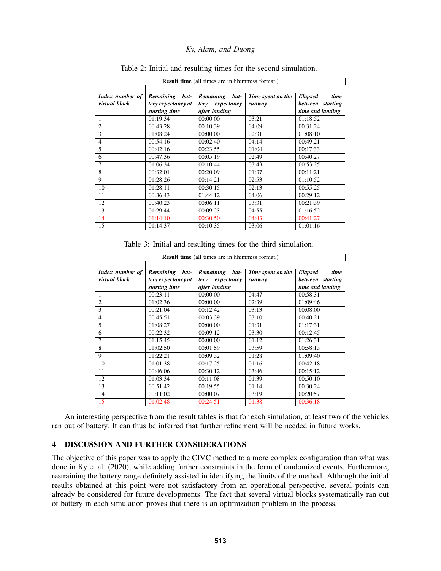| <b>Result time</b> (all times are in hh:mm:ss format.) |                    |                    |                   |                        |  |  |  |
|--------------------------------------------------------|--------------------|--------------------|-------------------|------------------------|--|--|--|
|                                                        |                    |                    |                   |                        |  |  |  |
| Index number of                                        | Remaining<br>bat-  | Remaining<br>bat-  | Time spent on the | time<br><b>Elapsed</b> |  |  |  |
| virtual block                                          | tery expectancy at | tery<br>expectancy | runway            | between starting       |  |  |  |
|                                                        | starting time      | after landing      |                   | time and landing       |  |  |  |
| -1                                                     | 01:19:34           | 00:00:00           | 03:21             | 01:18:52               |  |  |  |
| $\overline{2}$                                         | 00:43:28           | 00:10:39           | 04:09             | 00:31:24               |  |  |  |
| 3                                                      | 01:08:24           | 00:00:00           | 02:31             | 01:08:10               |  |  |  |
| $\overline{4}$                                         | 00:54:16           | 00:02:40           | 04:14             | 00:49:21               |  |  |  |
| 5                                                      | 00:42:16           | 00:23:55           | 01:04             | 00:17:33               |  |  |  |
| 6                                                      | 00:47:36           | 00:05:19           | 02:49             | 00:40:27               |  |  |  |
| 7                                                      | 01:06:34           | 00:10:44           | 03:43             | 00:53:25               |  |  |  |
| 8                                                      | 00:32:01           | 00:20:09           | 01:37             | 00:11:21               |  |  |  |
| 9                                                      | 01:28:26           | 00:14:21           | 02:53             | 01:10:52               |  |  |  |
| 10                                                     | 01:28:11           | 00:30:15           | 02:13             | 00:55:25               |  |  |  |
| 11                                                     | 00:36:43           | 01:44:12           | 04:06             | 00:29:12               |  |  |  |
| 12                                                     | 00:40:23           | 00:06:11           | 03:31             | 00:21:39               |  |  |  |
| 13                                                     | 01:29:44           | 00:09:23           | 04:55             | 01:16:52               |  |  |  |
| 14                                                     | 01:14:10           | 00:30:50           | 04:43             | 00:41:27               |  |  |  |
| 15                                                     | 01:14:37           | 00:10:35           | 03:06             | 01:01:16               |  |  |  |

## Table 2: Initial and resulting times for the second simulation.

<span id="page-9-1"></span>Table 3: Initial and resulting times for the third simulation.

| <b>Result time</b> (all times are in hh:mm:ss format.) |                    |                    |                   |                        |  |  |  |
|--------------------------------------------------------|--------------------|--------------------|-------------------|------------------------|--|--|--|
| Index number of                                        | Remaining<br>bat-  | Remaining<br>bat-  | Time spent on the | time<br><b>Elapsed</b> |  |  |  |
| virtual block                                          | tery expectancy at | expectancy<br>tery | runway            | between starting       |  |  |  |
|                                                        | starting time      | after landing      |                   | time and landing       |  |  |  |
|                                                        | 00:23:11           | 00:00:00           | 04:47             | 00:58:31               |  |  |  |
| $\overline{2}$                                         | 01:02:36           | 00:00:00           | 02:39             | 01:09:46               |  |  |  |
| 3                                                      | 00:21:04           | 00:12:42           | 03:13             | 00:08:00               |  |  |  |
| $\overline{4}$                                         | 00:45:51           | 00:03:39           | 03:10             | 00:40:21               |  |  |  |
| $\overline{5}$                                         | 01:08:27           | 00:00:00           | 01:31             | 01:17:31               |  |  |  |
| 6                                                      | 00:22:32           | 00:09:12           | 03:30             | 00:12:45               |  |  |  |
| $\overline{7}$                                         | 01:15:45           | 00:00:00           | 01:12             | 01:26:31               |  |  |  |
| $\overline{8}$                                         | 01:02:50           | 00:01:59           | 03:59             | 00:58:13               |  |  |  |
| $\overline{9}$                                         | 01:22:21           | 00:09:32           | 01:28             | 01:09:40               |  |  |  |
| 10                                                     | 01:01:38           | 00:17:25           | 01:16             | 00:42:18               |  |  |  |
| 11                                                     | 00:46:06           | 00:30:12           | 03:46             | 00:15:12               |  |  |  |
| 12                                                     | 01:03:34           | 00:11:08           | 01:39             | 00:50:10               |  |  |  |
| 13                                                     | 00:51:42           | 00:19:55           | 01:14             | 00:30:24               |  |  |  |
| 14                                                     | 00:11:02           | 00:00:07           | 03:19             | 00:20:57               |  |  |  |
| 15                                                     | 01:02:48           | 00:24:51           | 01:38             | 00:36:18               |  |  |  |

An interesting perspective from the result tables is that for each simulation, at least two of the vehicles ran out of battery. It can thus be inferred that further refinement will be needed in future works.

# <span id="page-9-0"></span>4 DISCUSSION AND FURTHER CONSIDERATIONS

The objective of this paper was to apply the CIVC method to a more complex configuration than what was done in [Ky et al. \(2020\),](#page-11-7) while adding further constraints in the form of randomized events. Furthermore, restraining the battery range definitely assisted in identifying the limits of the method. Although the initial results obtained at this point were not satisfactory from an operational perspective, several points can already be considered for future developments. The fact that several virtual blocks systematically ran out of battery in each simulation proves that there is an optimization problem in the process.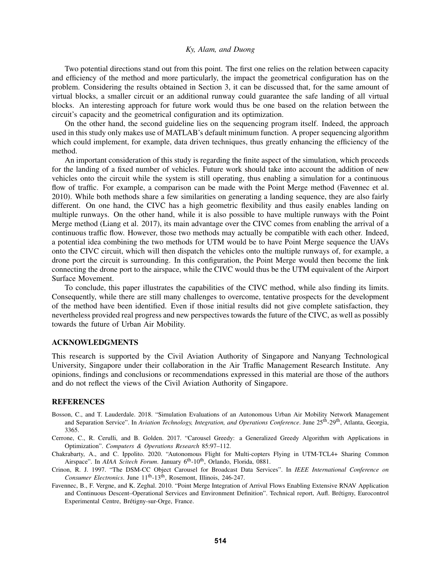Two potential directions stand out from this point. The first one relies on the relation between capacity and efficiency of the method and more particularly, the impact the geometrical configuration has on the problem. Considering the results obtained in Section [3,](#page-5-0) it can be discussed that, for the same amount of virtual blocks, a smaller circuit or an additional runway could guarantee the safe landing of all virtual blocks. An interesting approach for future work would thus be one based on the relation between the circuit's capacity and the geometrical configuration and its optimization.

On the other hand, the second guideline lies on the sequencing program itself. Indeed, the approach used in this study only makes use of MATLAB's default minimum function. A proper sequencing algorithm which could implement, for example, data driven techniques, thus greatly enhancing the efficiency of the method.

An important consideration of this study is regarding the finite aspect of the simulation, which proceeds for the landing of a fixed number of vehicles. Future work should take into account the addition of new vehicles onto the circuit while the system is still operating, thus enabling a simulation for a continuous flow of traffic. For example, a comparison can be made with the Point Merge method [\(Favennec et al.](#page-10-0) [2010\)](#page-10-0). While both methods share a few similarities on generating a landing sequence, they are also fairly different. On one hand, the CIVC has a high geometric flexibility and thus easily enables landing on multiple runways. On the other hand, while it is also possible to have multiple runways with the Point Merge method [\(Liang et al. 2017\)](#page-11-12), its main advantage over the CIVC comes from enabling the arrival of a continuous traffic flow. However, those two methods may actually be compatible with each other. Indeed, a potential idea combining the two methods for UTM would be to have Point Merge sequence the UAVs onto the CIVC circuit, which will then dispatch the vehicles onto the multiple runways of, for example, a drone port the circuit is surrounding. In this configuration, the Point Merge would then become the link connecting the drone port to the airspace, while the CIVC would thus be the UTM equivalent of the Airport Surface Movement.

To conclude, this paper illustrates the capabilities of the CIVC method, while also finding its limits. Consequently, while there are still many challenges to overcome, tentative prospects for the development of the method have been identified. Even if those initial results did not give complete satisfaction, they nevertheless provided real progress and new perspectives towards the future of the CIVC, as well as possibly towards the future of Urban Air Mobility.

#### ACKNOWLEDGMENTS

This research is supported by the Civil Aviation Authority of Singapore and Nanyang Technological University, Singapore under their collaboration in the Air Traffic Management Research Institute. Any opinions, findings and conclusions or recommendations expressed in this material are those of the authors and do not reflect the views of the Civil Aviation Authority of Singapore.

## **REFERENCES**

- <span id="page-10-4"></span>Bosson, C., and T. Lauderdale. 2018. "Simulation Evaluations of an Autonomous Urban Air Mobility Network Management and Separation Service". In *Aviation Technology, Integration, and Operations Conference*. June 25th-29th, Atlanta, Georgia, 3365.
- <span id="page-10-2"></span>Cerrone, C., R. Cerulli, and B. Golden. 2017. "Carousel Greedy: a Generalized Greedy Algorithm with Applications in Optimization". *Computers & Operations Research* 85:97–112.
- <span id="page-10-3"></span>Chakrabarty, A., and C. Ippolito. 2020. "Autonomous Flight for Multi-copters Flying in UTM-TCL4+ Sharing Common Airspace". In *AIAA Scitech Forum*. January 6<sup>th</sup>-10<sup>th</sup>, Orlando, Florida, 0881.
- <span id="page-10-1"></span>Crinon, R. J. 1997. "The DSM-CC Object Carousel for Broadcast Data Services". In *IEEE International Conference on Consumer Electronics*. June 11<sup>th</sup>-13<sup>th</sup>, Rosemont, Illinois, 246-247.
- <span id="page-10-0"></span>Favennec, B., F. Vergne, and K. Zeghal. 2010. "Point Merge Integration of Arrival Flows Enabling Extensive RNAV Application and Continuous Descent–Operational Services and Environment Definition". Technical report, Aufl. Bretigny, Eurocontrol ´ Experimental Centre, Brétigny-sur-Orge, France.